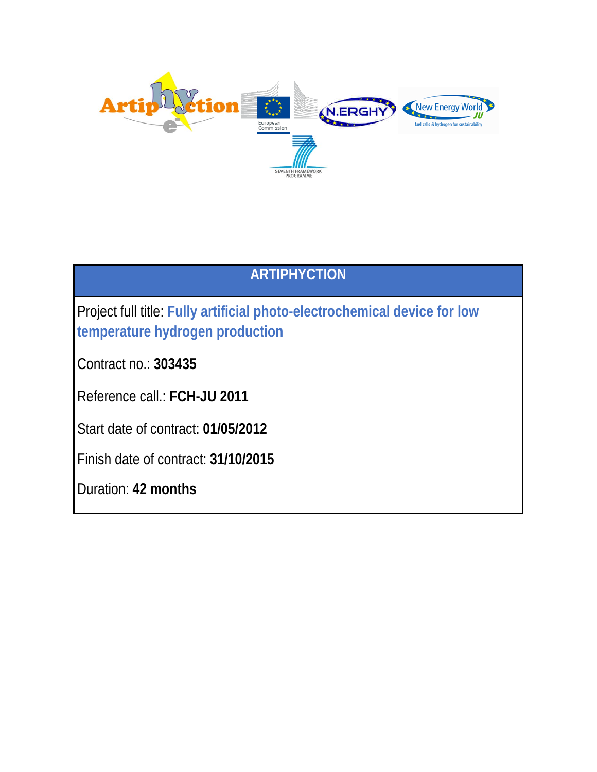

# **ARTIPHYCTION**

Project full title: **Fully artificial photo-electrochemical device for low temperature hydrogen production**

Contract no.: **303435**

Reference call.: **FCH-JU 2011**

Start date of contract: **01/05/2012**

Finish date of contract: **31/10/2015**

Duration: **42 months**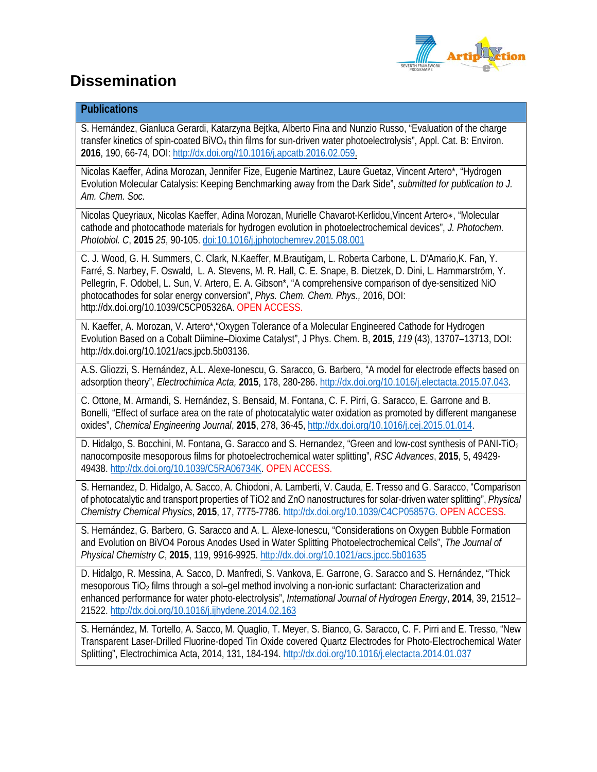

# **Dissemination**

## **Publications**

S. Hernández, Gianluca Gerardi, Katarzyna Bejtka, Alberto Fina and Nunzio Russo, "Evaluation of the charge transfer kinetics of spin-coated BiVO<sub>4</sub> thin films for sun-driven water photoelectrolysis", Appl. Cat. B: Environ. **2016**, 190, 66-74, DOI: http://dx.doi.org//10.1016/j.apcatb.2016.02.059.

Nicolas Kaeffer, Adina Morozan, Jennifer Fize, Eugenie Martinez, Laure Guetaz, Vincent Artero\*, "Hydrogen Evolution Molecular Catalysis: Keeping Benchmarking away from the Dark Side", *submitted for publication to J. Am. Chem. Soc.*

Nicolas Queyriaux, Nicolas Kaeffer, Adina Morozan, Murielle Chavarot-Kerlidou,Vincent Artero∗, "Molecular cathode and photocathode materials for hydrogen evolution in photoelectrochemical devices", *J. Photochem. Photobiol. C*, **2015** *25*, 90-105. doi:10.1016/j.jphotochemrev.2015.08.001

C. J. Wood, G. H. Summers, C. Clark, N.Kaeffer, M.Brautigam, L. Roberta Carbone, L. D'Amario,K. Fan, Y. Farré, S. Narbey, F. Oswald, L. A. Stevens, M. R. Hall, C. E. Snape, B. Dietzek, D. Dini, L. Hammarström, Y. Pellegrin, F. Odobel, L. Sun, V. Artero, E. A. Gibson\*, "A comprehensive comparison of dye-sensitized NiO photocathodes for solar energy conversion", *Phys. Chem. Chem. Phys.,* 2016, DOI: http://dx.doi.org/10.1039/C5CP05326A. OPEN ACCESS.

N. Kaeffer, A. Morozan, V. Artero\*,"Oxygen Tolerance of a Molecular Engineered Cathode for Hydrogen Evolution Based on a Cobalt Diimine–Dioxime Catalyst", J Phys. Chem. B, **2015**, *119* (43), 13707–13713, DOI: http://dx.doi.org/10.1021/acs.jpcb.5b03136.

A.S. Gliozzi, S. Hernández, A.L. Alexe-Ionescu, G. Saracco, G. Barbero, "A model for electrode effects based on adsorption theory", *Electrochimica Acta,* **2015**, 178, 280-286. http://dx.doi.org/10.1016/j.electacta.2015.07.043.

C. Ottone, M. Armandi, S. Hernández, S. Bensaid, M. Fontana, C. F. Pirri, G. Saracco, E. Garrone and B. Bonelli, "Effect of surface area on the rate of photocatalytic water oxidation as promoted by different manganese oxides", *Chemical Engineering Journal*, **2015**, 278, 36-45, http://dx.doi.org/10.1016/j.cej.2015.01.014.

D. Hidalgo, S. Bocchini, M. Fontana, G. Saracco and S. Hernandez, "Green and low-cost synthesis of PANI-TiO<sub>2</sub> nanocomposite mesoporous films for photoelectrochemical water splitting", *RSC Advances*, **2015**, 5, 49429- 49438. http://dx.doi.org/10.1039/C5RA06734K. OPEN ACCESS.

S. Hernandez, D. Hidalgo, A. Sacco, A. Chiodoni, A. Lamberti, V. Cauda, E. Tresso and G. Saracco, "Comparison of photocatalytic and transport properties of TiO2 and ZnO nanostructures for solar-driven water splitting", *Physical Chemistry Chemical Physics*, **2015**, 17, 7775-7786. http://dx.doi.org/10.1039/C4CP05857G. OPEN ACCESS.

S. Hernández, G. Barbero, G. Saracco and A. L. Alexe-Ionescu, "Considerations on Oxygen Bubble Formation and Evolution on BiVO4 Porous Anodes Used in Water Splitting Photoelectrochemical Cells", *The Journal of Physical Chemistry C*, **2015**, 119, 9916-9925. http://dx.doi.org/10.1021/acs.jpcc.5b01635

D. Hidalgo, R. Messina, A. Sacco, D. Manfredi, S. Vankova, E. Garrone, G. Saracco and S. Hernández, "Thick mesoporous TiO<sub>2</sub> films through a sol–gel method involving a non-ionic surfactant: Characterization and enhanced performance for water photo-electrolysis", *International Journal of Hydrogen Energy*, **2014**, 39, 21512– 21522. http://dx.doi.org/10.1016/j.ijhydene.2014.02.163

S. Hernández, M. Tortello, A. Sacco, M. Quaglio, T. Meyer, S. Bianco, G. Saracco, C. F. Pirri and E. Tresso, "New Transparent Laser-Drilled Fluorine-doped Tin Oxide covered Quartz Electrodes for Photo-Electrochemical Water Splitting", Electrochimica Acta, 2014, 131, 184-194. http://dx.doi.org/10.1016/j.electacta.2014.01.037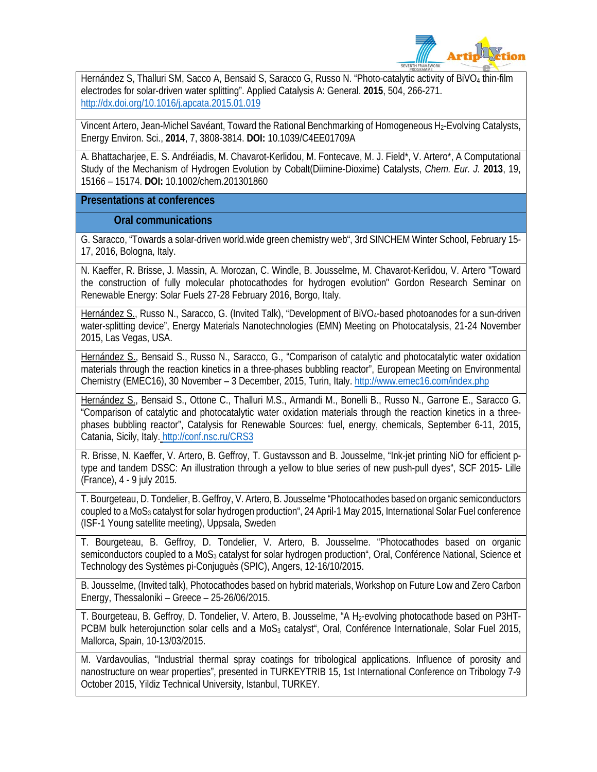

Hernández S, Thalluri SM, Sacco A, Bensaid S, Saracco G, Russo N. "Photo-catalytic activity of BiVO<sub>4</sub> thin-film electrodes for solar-driven water splitting". Applied Catalysis A: General. **2015**, 504, 266-271. http://dx.doi.org/10.1016/j.apcata.2015.01.019

Vincent Artero, Jean-Michel Savéant, Toward the Rational Benchmarking of Homogeneous H2-Evolving Catalysts, Energy Environ. Sci., **2014**, 7, 3808-3814. **DOI:** 10.1039/C4EE01709A

A. Bhattacharjee, E. S. Andréiadis, M. Chavarot-Kerlidou, M. Fontecave, M. J. Field\*, V. Artero\*, A Computational Study of the Mechanism of Hydrogen Evolution by Cobalt(Diimine-Dioxime) Catalysts, *Chem. Eur. J.* **2013**, 19, 15166 – 15174. **DOI:** 10.1002/chem.201301860

### **Presentations at conferences**

**Oral communications**

G. Saracco, "Towards a solar-driven world.wide green chemistry web", 3rd SINCHEM Winter School, February 15- 17, 2016, Bologna, Italy.

N. Kaeffer, R. Brisse, J. Massin, A. Morozan, C. Windle, B. Jousselme, M. Chavarot-Kerlidou, V. Artero "Toward the construction of fully molecular photocathodes for hydrogen evolution" Gordon Research Seminar on Renewable Energy: Solar Fuels 27-28 February 2016, Borgo, Italy.

Hernández S., Russo N., Saracco, G. (Invited Talk), "Development of BiVO<sub>4</sub>-based photoanodes for a sun-driven water-splitting device", Energy Materials Nanotechnologies (EMN) Meeting on Photocatalysis, 21-24 November 2015, Las Vegas, USA.

Hernández S., Bensaid S., Russo N., Saracco, G., "Comparison of catalytic and photocatalytic water oxidation materials through the reaction kinetics in a three-phases bubbling reactor", European Meeting on Environmental Chemistry (EMEC16), 30 November – 3 December, 2015, Turin, Italy. http://www.emec16.com/index.php

Hernández S., Bensaid S., Ottone C., Thalluri M.S., Armandi M., Bonelli B., Russo N., Garrone E., Saracco G. "Comparison of catalytic and photocatalytic water oxidation materials through the reaction kinetics in a threephases bubbling reactor", Catalysis for Renewable Sources: fuel, energy, chemicals, September 6-11, 2015, Catania, Sicily, Italy. http://conf.nsc.ru/CRS3

R. Brisse, N. Kaeffer, V. Artero, B. Geffroy, T. Gustavsson and B. Jousselme, "Ink-jet printing NiO for efficient ptype and tandem DSSC: An illustration through a yellow to blue series of new push-pull dyes", SCF 2015- Lille (France), 4 - 9 july 2015.

T. Bourgeteau, D. Tondelier, B. Geffroy, V. Artero, B. Jousselme "Photocathodes based on organic semiconductors coupled to a MoS<sub>3</sub> catalyst for solar hydrogen production", 24 April-1 May 2015, International Solar Fuel conference (ISF-1 Young satellite meeting), Uppsala, Sweden

T. Bourgeteau, B. Geffroy, D. Tondelier, V. Artero, B. Jousselme. "Photocathodes based on organic semiconductors coupled to a MoS<sub>3</sub> catalyst for solar hydrogen production", Oral, Conférence National, Science et Technology des Systèmes pi-Conjuguès (SPIC), Angers, 12-16/10/2015.

B. Jousselme, (Invited talk), Photocathodes based on hybrid materials, Workshop on Future Low and Zero Carbon Energy, Thessaloniki – Greece – 25-26/06/2015.

T. Bourgeteau, B. Geffroy, D. Tondelier, V. Artero, B. Jousselme, "A H<sub>2</sub>-evolving photocathode based on P3HT-PCBM bulk heterojunction solar cells and a MoS<sub>3</sub> catalyst<sup>\*</sup>, Oral, Conférence Internationale, Solar Fuel 2015, Mallorca, Spain, 10-13/03/2015.

M. Vardavoulias, "Industrial thermal spray coatings for tribological applications. Influence of porosity and nanostructure on wear properties", presented in TURKEYTRIB 15, 1st International Conference on Tribology 7-9 October 2015, Yildiz Technical University, Istanbul, TURKEY.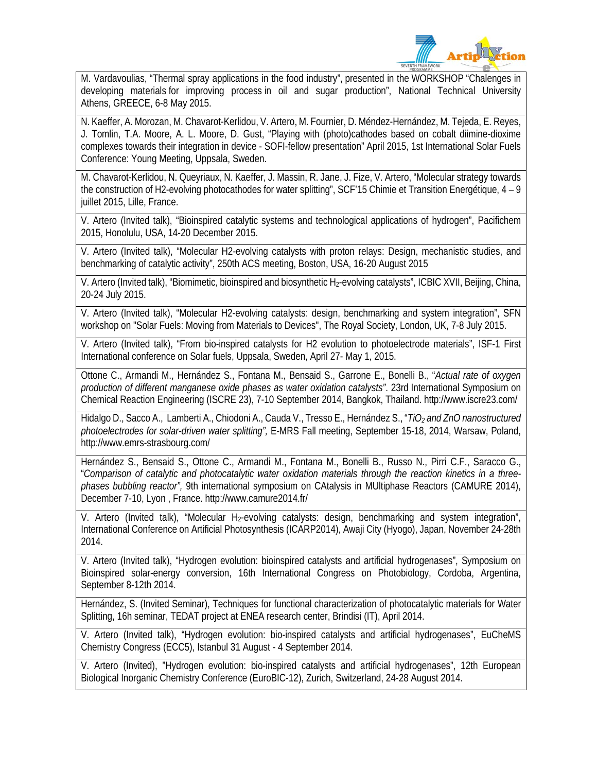

M. Vardavoulias, "Thermal spray applications in the food industry", presented in the WORKSHOP "Chalenges in developing materials for improving process in oil and sugar production", National Technical University Athens, GREECE, 6-8 May 2015.

N. Kaeffer, A. Morozan, M. Chavarot-Kerlidou, V. Artero, M. Fournier, D. Méndez-Hernández, M. Tejeda, E. Reyes, J. Tomlin, T.A. Moore, A. L. Moore, D. Gust, "Playing with (photo)cathodes based on cobalt diimine-dioxime complexes towards their integration in device - SOFI-fellow presentation" April 2015, 1st International Solar Fuels Conference: Young Meeting, Uppsala, Sweden.

M. Chavarot-Kerlidou, N. Queyriaux, N. Kaeffer, J. Massin, R. Jane, J. Fize, V. Artero, "Molecular strategy towards the construction of H2-evolving photocathodes for water splitting", SCF'15 Chimie et Transition Energétique, 4 – 9 juillet 2015, Lille, France.

V. Artero (Invited talk), "Bioinspired catalytic systems and technological applications of hydrogen", Pacifichem 2015, Honolulu, USA, 14-20 December 2015.

V. Artero (Invited talk), "Molecular H2-evolving catalysts with proton relays: Design, mechanistic studies, and benchmarking of catalytic activity", 250th ACS meeting, Boston, USA, 16-20 August 2015

V. Artero (Invited talk), "Biomimetic, bioinspired and biosynthetic H<sub>2</sub>-evolving catalysts", ICBIC XVII, Beijing, China, 20-24 July 2015.

V. Artero (Invited talk), "Molecular H2-evolving catalysts: design, benchmarking and system integration", SFN workshop on "Solar Fuels: Moving from Materials to Devices", The Royal Society, London, UK, 7-8 July 2015.

V. Artero (Invited talk), "From bio-inspired catalysts for H2 evolution to photoelectrode materials", ISF-1 First International conference on Solar fuels, Uppsala, Sweden, April 27- May 1, 2015.

Ottone C., Armandi M., Hernández S., Fontana M., Bensaid S., Garrone E., Bonelli B., "*Actual rate of oxygen production of different manganese oxide phases as water oxidation catalysts"*. 23rd International Symposium on Chemical Reaction Engineering (ISCRE 23), 7-10 September 2014, Bangkok, Thailand. http://www.iscre23.com/

Hidalgo D., Sacco A., Lamberti A., Chiodoni A., Cauda V., Tresso E., Hernández S., "*TiO2 and ZnO nanostructured photoelectrodes for solar-driven water splitting",* E-MRS Fall meeting, September 15-18, 2014, Warsaw, Poland, http://www.emrs-strasbourg.com/

Hernández S., Bensaid S., Ottone C., Armandi M., Fontana M., Bonelli B., Russo N., Pirri C.F., Saracco G., "*Comparison of catalytic and photocatalytic water oxidation materials through the reaction kinetics in a threephases bubbling reactor",* 9th international symposium on CAtalysis in MUltiphase Reactors (CAMURE 2014), December 7-10, Lyon , France. http://www.camure2014.fr/

V. Artero (Invited talk), "Molecular H<sub>2</sub>-evolving catalysts: design, benchmarking and system integration", International Conference on Artificial Photosynthesis (ICARP2014), Awaji City (Hyogo), Japan, November 24-28th 2014.

V. Artero (Invited talk), "Hydrogen evolution: bioinspired catalysts and artificial hydrogenases", Symposium on Bioinspired solar-energy conversion, 16th International Congress on Photobiology, Cordoba, Argentina, September 8-12th 2014.

Hernández, S. (Invited Seminar), Techniques for functional characterization of photocatalytic materials for Water Splitting, 16h seminar, TEDAT project at ENEA research center, Brindisi (IT), April 2014.

V. Artero (Invited talk), "Hydrogen evolution: bio-inspired catalysts and artificial hydrogenases", EuCheMS Chemistry Congress (ECC5), Istanbul 31 August - 4 September 2014.

V. Artero (Invited), "Hydrogen evolution: bio-inspired catalysts and artificial hydrogenases", 12th European Biological Inorganic Chemistry Conference (EuroBIC-12), Zurich, Switzerland, 24-28 August 2014.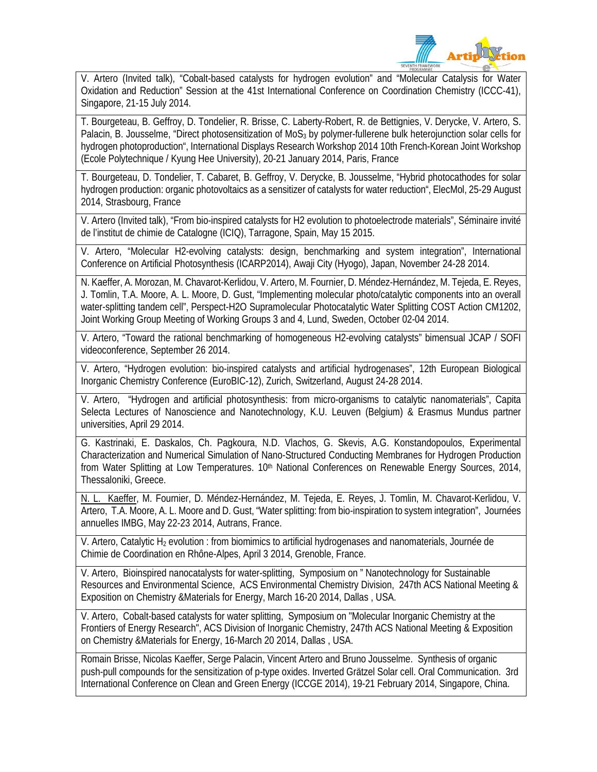

V. Artero (Invited talk), "Cobalt-based catalysts for hydrogen evolution" and "Molecular Catalysis for Water Oxidation and Reduction" Session at the 41st International Conference on Coordination Chemistry (ICCC-41), Singapore, 21-15 July 2014.

T. Bourgeteau, B. Geffroy, D. Tondelier, R. Brisse, C. Laberty-Robert, R. de Bettignies, V. Derycke, V. Artero, S. Palacin, B. Jousselme, "Direct photosensitization of MoS<sub>3</sub> by polymer-fullerene bulk heterojunction solar cells for hydrogen photoproduction", International Displays Research Workshop 2014 10th French-Korean Joint Workshop (Ecole Polytechnique / Kyung Hee University), 20-21 January 2014, Paris, France

T. Bourgeteau, D. Tondelier, T. Cabaret, B. Geffroy, V. Derycke, B. Jousselme, "Hybrid photocathodes for solar hydrogen production: organic photovoltaics as a sensitizer of catalysts for water reduction", ElecMol, 25-29 August 2014, Strasbourg, France

V. Artero (Invited talk), "From bio-inspired catalysts for H2 evolution to photoelectrode materials", Séminaire invité de l'institut de chimie de Catalogne (ICIQ), Tarragone, Spain, May 15 2015.

V. Artero, "Molecular H2-evolving catalysts: design, benchmarking and system integration", International Conference on Artificial Photosynthesis (ICARP2014), Awaji City (Hyogo), Japan, November 24-28 2014.

N. Kaeffer, A. Morozan, M. Chavarot-Kerlidou, V. Artero, M. Fournier, D. Méndez-Hernández, M. Tejeda, E. Reyes, J. Tomlin, T.A. Moore, A. L. Moore, D. Gust, "Implementing molecular photo/catalytic components into an overall water-splitting tandem cell", Perspect-H2O Supramolecular Photocatalytic Water Splitting COST Action CM1202, Joint Working Group Meeting of Working Groups 3 and 4, Lund, Sweden, October 02-04 2014.

V. Artero, "Toward the rational benchmarking of homogeneous H2-evolving catalysts" bimensual JCAP / SOFI videoconference, September 26 2014.

V. Artero, "Hydrogen evolution: bio-inspired catalysts and artificial hydrogenases", 12th European Biological Inorganic Chemistry Conference (EuroBIC-12), Zurich, Switzerland, August 24-28 2014.

V. Artero, "Hydrogen and artificial photosynthesis: from micro-organisms to catalytic nanomaterials", Capita Selecta Lectures of Nanoscience and Nanotechnology, K.U. Leuven (Belgium) & Erasmus Mundus partner universities, April 29 2014.

G. Kastrinaki, E. Daskalos, Ch. Pagkoura, N.D. Vlachos, G. Skevis, A.G. Konstandopoulos, Experimental Characterization and Numerical Simulation of Nano-Structured Conducting Membranes for Hydrogen Production from Water Splitting at Low Temperatures. 10<sup>th</sup> National Conferences on Renewable Energy Sources, 2014, Thessaloniki, Greece.

Kaeffer, M. Fournier, D. Méndez-Hernández, M. Tejeda, E. Reyes, J. Tomlin, M. Chavarot-Kerlidou, V. Artero, T.A. Moore, A. L. Moore and D. Gust, "Water splitting: from bio-inspiration to system integration", Journées annuelles IMBG, May 22-23 2014, Autrans, France.

V. Artero, Catalytic H<sub>2</sub> evolution : from biomimics to artificial hydrogenases and nanomaterials, Journée de Chimie de Coordination en Rhône-Alpes, April 3 2014, Grenoble, France.

V. Artero, Bioinspired nanocatalysts for water-splitting, Symposium on " Nanotechnology for Sustainable Resources and Environmental Science, ACS Environmental Chemistry Division, 247th ACS National Meeting & Exposition on Chemistry &Materials for Energy, March 16-20 2014, Dallas , USA.

V. Artero, Cobalt-based catalysts for water splitting, Symposium on "Molecular Inorganic Chemistry at the Frontiers of Energy Research", ACS Division of Inorganic Chemistry, 247th ACS National Meeting & Exposition on Chemistry &Materials for Energy, 16-March 20 2014, Dallas , USA.

Romain Brisse, Nicolas Kaeffer, Serge Palacin, Vincent Artero and Bruno Jousselme. Synthesis of organic push-pull compounds for the sensitization of p-type oxides. Inverted Grätzel Solar cell. Oral Communication. 3rd International Conference on Clean and Green Energy (ICCGE 2014), 19-21 February 2014, Singapore, China.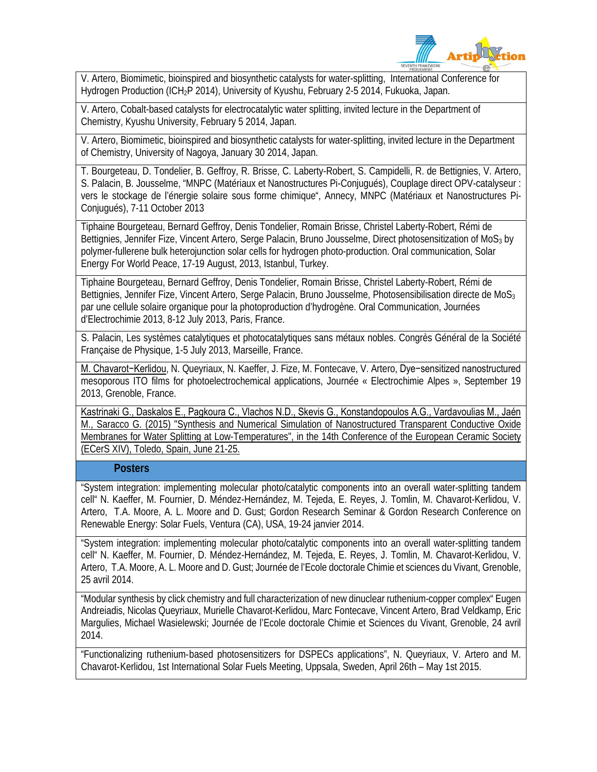

V. Artero, Biomimetic, bioinspired and biosynthetic catalysts for water-splitting, International Conference for Hydrogen Production (ICH<sub>2</sub>P 2014), University of Kyushu, February 2-5 2014, Fukuoka, Japan.

V. Artero, Cobalt-based catalysts for electrocatalytic water splitting, invited lecture in the Department of Chemistry, Kyushu University, February 5 2014, Japan.

V. Artero, Biomimetic, bioinspired and biosynthetic catalysts for water-splitting, invited lecture in the Department of Chemistry, University of Nagoya, January 30 2014, Japan.

T. Bourgeteau, D. Tondelier, B. Geffroy, R. Brisse, C. Laberty-Robert, S. Campidelli, R. de Bettignies, V. Artero, S. Palacin, B. Jousselme, "MNPC (Matériaux et Nanostructures Pi-Conjugués), Couplage direct OPV-catalyseur : vers le stockage de l'énergie solaire sous forme chimique", Annecy, MNPC (Matériaux et Nanostructures Pi-Conjugués), 7-11 October 2013

Tiphaine Bourgeteau, Bernard Geffroy, Denis Tondelier, Romain Brisse, Christel Laberty-Robert, Rémi de Bettignies, Jennifer Fize, Vincent Artero, Serge Palacin, Bruno Jousselme, Direct photosensitization of MoS<sub>3</sub> by polymer-fullerene bulk heterojunction solar cells for hydrogen photo-production. Oral communication, Solar Energy For World Peace, 17-19 August, 2013, Istanbul, Turkey.

Tiphaine Bourgeteau, Bernard Geffroy, Denis Tondelier, Romain Brisse, Christel Laberty-Robert, Rémi de Bettignies, Jennifer Fize, Vincent Artero, Serge Palacin, Bruno Jousselme, Photosensibilisation directe de MoS<sub>3</sub> par une cellule solaire organique pour la photoproduction d'hydrogène. Oral Communication, Journées d'Electrochimie 2013, 8-12 July 2013, Paris, France.

S. Palacin, Les systèmes catalytiques et photocatalytiques sans métaux nobles. Congrès Général de la Société Française de Physique, 1-5 July 2013, Marseille, France.

M. Chavarot−Kerlidou, N. Queyriaux, N. Kaeffer, J. Fize, M. Fontecave, V. Artero, Dye−sensitized nanostructured mesoporous ITO films for photoelectrochemical applications, Journée « Electrochimie Alpes », September 19 2013, Grenoble, France.

Kastrinaki G., Daskalos E., Pagkoura C., Vlachos N.D., Skevis G., Konstandopoulos A.G., Vardavoulias M., Jaén M., Saracco G. (2015) "Synthesis and Numerical Simulation of Nanostructured Transparent Conductive Oxide Membranes for Water Splitting at Low-Temperatures", in the 14th Conference of the European Ceramic Society (ECerS XIV), Toledo, Spain, June 21-25.

#### **Posters**

"System integration: implementing molecular photo/catalytic components into an overall water-splitting tandem cell" N. Kaeffer, M. Fournier, D. Méndez-Hernández, M. Tejeda, E. Reyes, J. Tomlin, M. Chavarot-Kerlidou, V. Artero, T.A. Moore, A. L. Moore and D. Gust; Gordon Research Seminar & Gordon Research Conference on Renewable Energy: Solar Fuels, Ventura (CA), USA, 19-24 janvier 2014.

"System integration: implementing molecular photo/catalytic components into an overall water-splitting tandem cell" N. Kaeffer, M. Fournier, D. Méndez-Hernández, M. Tejeda, E. Reyes, J. Tomlin, M. Chavarot-Kerlidou, V. Artero, T.A. Moore, A. L. Moore and D. Gust; Journée de l'Ecole doctorale Chimie et sciences du Vivant, Grenoble, 25 avril 2014.

"Modular synthesis by click chemistry and full characterization of new dinuclear ruthenium-copper complex" Eugen Andreiadis, Nicolas Queyriaux, Murielle Chavarot-Kerlidou, Marc Fontecave, Vincent Artero, Brad Veldkamp, Eric Margulies, Michael Wasielewski; Journée de l'Ecole doctorale Chimie et Sciences du Vivant, Grenoble, 24 avril 2014.

"Functionalizing ruthenium‐based photosensitizers for DSPECs applications", N. Queyriaux, V. Artero and M. Chavarot‐Kerlidou, 1st International Solar Fuels Meeting, Uppsala, Sweden, April 26th – May 1st 2015.